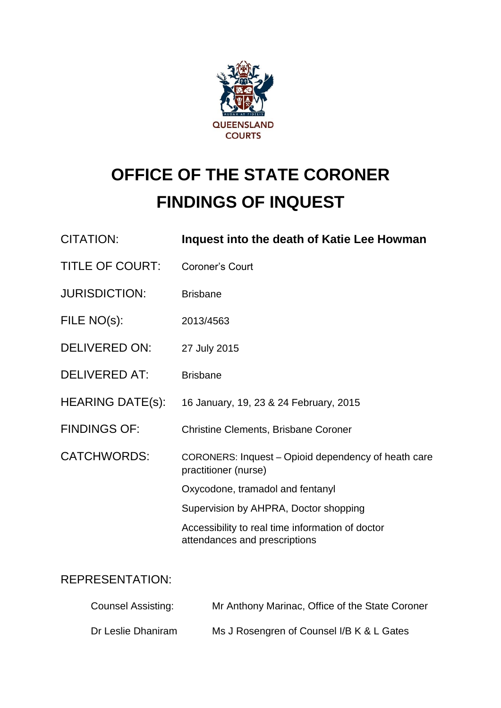

# **OFFICE OF THE STATE CORONER FINDINGS OF INQUEST**

| <b>CITATION:</b>        | Inquest into the death of Katie Lee Howman                                        |
|-------------------------|-----------------------------------------------------------------------------------|
| <b>TITLE OF COURT:</b>  | <b>Coroner's Court</b>                                                            |
| <b>JURISDICTION:</b>    | <b>Brisbane</b>                                                                   |
| FILE NO(s):             | 2013/4563                                                                         |
| <b>DELIVERED ON:</b>    | 27 July 2015                                                                      |
| <b>DELIVERED AT:</b>    | <b>Brisbane</b>                                                                   |
| <b>HEARING DATE(s):</b> | 16 January, 19, 23 & 24 February, 2015                                            |
| <b>FINDINGS OF:</b>     | <b>Christine Clements, Brisbane Coroner</b>                                       |
| <b>CATCHWORDS:</b>      | CORONERS: Inquest - Opioid dependency of heath care<br>practitioner (nurse)       |
|                         | Oxycodone, tramadol and fentanyl                                                  |
|                         | Supervision by AHPRA, Doctor shopping                                             |
|                         | Accessibility to real time information of doctor<br>attendances and prescriptions |
|                         |                                                                                   |

# REPRESENTATION:

| Counsel Assisting: | Mr Anthony Marinac, Office of the State Coroner |
|--------------------|-------------------------------------------------|
| Dr Leslie Dhaniram | Ms J Rosengren of Counsel I/B K & L Gates       |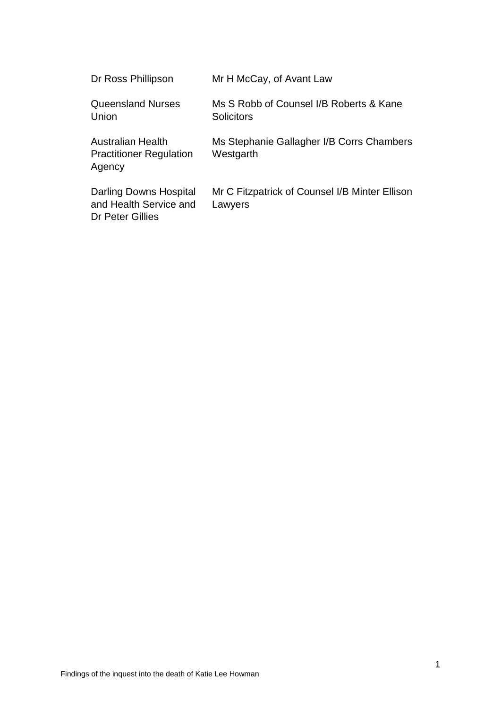| Dr Ross Phillipson                                                   | Mr H McCay, of Avant Law                                     |
|----------------------------------------------------------------------|--------------------------------------------------------------|
| <b>Queensland Nurses</b><br>Union                                    | Ms S Robb of Counsel I/B Roberts & Kane<br><b>Solicitors</b> |
| Australian Health<br><b>Practitioner Regulation</b><br>Agency        | Ms Stephanie Gallagher I/B Corrs Chambers<br>Westgarth       |
| Darling Downs Hospital<br>and Health Service and<br>Dr Peter Gillies | Mr C Fitzpatrick of Counsel I/B Minter Ellison<br>Lawyers    |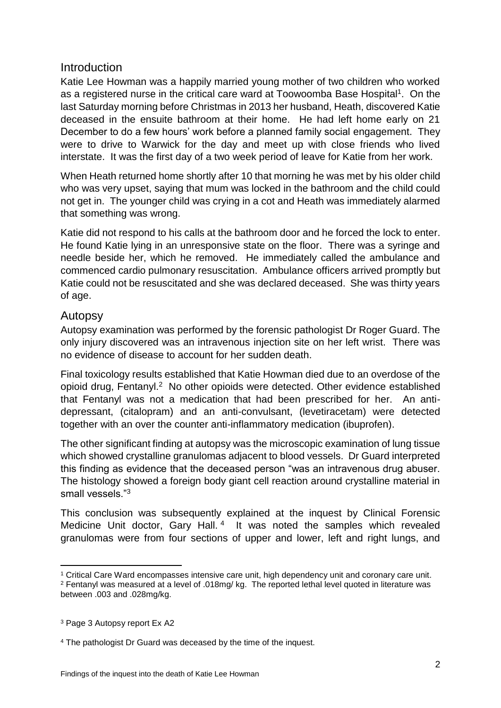## **Introduction**

Katie Lee Howman was a happily married young mother of two children who worked as a registered nurse in the critical care ward at Toowoomba Base Hospital<sup>1</sup>. On the last Saturday morning before Christmas in 2013 her husband, Heath, discovered Katie deceased in the ensuite bathroom at their home. He had left home early on 21 December to do a few hours' work before a planned family social engagement. They were to drive to Warwick for the day and meet up with close friends who lived interstate. It was the first day of a two week period of leave for Katie from her work.

When Heath returned home shortly after 10 that morning he was met by his older child who was very upset, saying that mum was locked in the bathroom and the child could not get in. The younger child was crying in a cot and Heath was immediately alarmed that something was wrong.

Katie did not respond to his calls at the bathroom door and he forced the lock to enter. He found Katie lying in an unresponsive state on the floor. There was a syringe and needle beside her, which he removed. He immediately called the ambulance and commenced cardio pulmonary resuscitation. Ambulance officers arrived promptly but Katie could not be resuscitated and she was declared deceased. She was thirty years of age.

## Autopsy

Autopsy examination was performed by the forensic pathologist Dr Roger Guard. The only injury discovered was an intravenous injection site on her left wrist. There was no evidence of disease to account for her sudden death.

Final toxicology results established that Katie Howman died due to an overdose of the opioid drug, Fentanyl.<sup>2</sup> No other opioids were detected. Other evidence established that Fentanyl was not a medication that had been prescribed for her. An antidepressant, (citalopram) and an anti-convulsant, (levetiracetam) were detected together with an over the counter anti-inflammatory medication (ibuprofen).

The other significant finding at autopsy was the microscopic examination of lung tissue which showed crystalline granulomas adjacent to blood vessels. Dr Guard interpreted this finding as evidence that the deceased person "was an intravenous drug abuser. The histology showed a foreign body giant cell reaction around crystalline material in small vessels."3

This conclusion was subsequently explained at the inquest by Clinical Forensic Medicine Unit doctor, Gary Hall.<sup>4</sup> It was noted the samples which revealed granulomas were from four sections of upper and lower, left and right lungs, and

<sup>1</sup> Critical Care Ward encompasses intensive care unit, high dependency unit and coronary care unit.

<sup>2</sup> Fentanyl was measured at a level of .018mg/ kg. The reported lethal level quoted in literature was between .003 and .028mg/kg.

<sup>3</sup> Page 3 Autopsy report Ex A2

<sup>4</sup> The pathologist Dr Guard was deceased by the time of the inquest.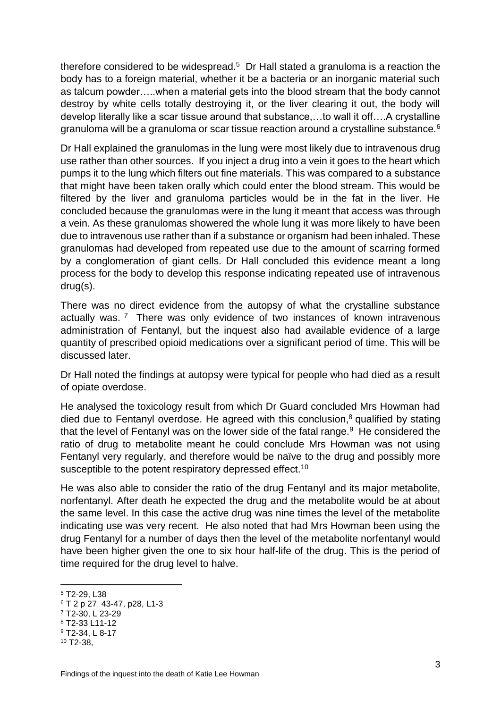therefore considered to be widespread. $5$  Dr Hall stated a granuloma is a reaction the body has to a foreign material, whether it be a bacteria or an inorganic material such as talcum powder…..when a material gets into the blood stream that the body cannot destroy by white cells totally destroying it, or the liver clearing it out, the body will develop literally like a scar tissue around that substance,…to wall it off….A crystalline granuloma will be a granuloma or scar tissue reaction around a crystalline substance.<sup>6</sup>

Dr Hall explained the granulomas in the lung were most likely due to intravenous drug use rather than other sources. If you inject a drug into a vein it goes to the heart which pumps it to the lung which filters out fine materials. This was compared to a substance that might have been taken orally which could enter the blood stream. This would be filtered by the liver and granuloma particles would be in the fat in the liver. He concluded because the granulomas were in the lung it meant that access was through a vein. As these granulomas showered the whole lung it was more likely to have been due to intravenous use rather than if a substance or organism had been inhaled. These granulomas had developed from repeated use due to the amount of scarring formed by a conglomeration of giant cells. Dr Hall concluded this evidence meant a long process for the body to develop this response indicating repeated use of intravenous drug(s).

There was no direct evidence from the autopsy of what the crystalline substance actually was.<sup>7</sup> There was only evidence of two instances of known intravenous administration of Fentanyl, but the inquest also had available evidence of a large quantity of prescribed opioid medications over a significant period of time. This will be discussed later.

Dr Hall noted the findings at autopsy were typical for people who had died as a result of opiate overdose.

He analysed the toxicology result from which Dr Guard concluded Mrs Howman had died due to Fentanyl overdose. He agreed with this conclusion, $8$  qualified by stating that the level of Fentanyl was on the lower side of the fatal range. $9$  He considered the ratio of drug to metabolite meant he could conclude Mrs Howman was not using Fentanyl very regularly, and therefore would be naïve to the drug and possibly more susceptible to the potent respiratory depressed effect.<sup>10</sup>

He was also able to consider the ratio of the drug Fentanyl and its major metabolite, norfentanyl. After death he expected the drug and the metabolite would be at about the same level. In this case the active drug was nine times the level of the metabolite indicating use was very recent. He also noted that had Mrs Howman been using the drug Fentanyl for a number of days then the level of the metabolite norfentanyl would have been higher given the one to six hour half-life of the drug. This is the period of time required for the drug level to halve.

1

<sup>7</sup> T2-30, L 23-29

<sup>5</sup> T2-29, L38

<sup>6</sup> T 2 p 27 43-47, p28, L1-3

<sup>8</sup> T2-33 L11-12

<sup>9</sup> T2-34, L 8-17

<sup>10</sup> T2-38,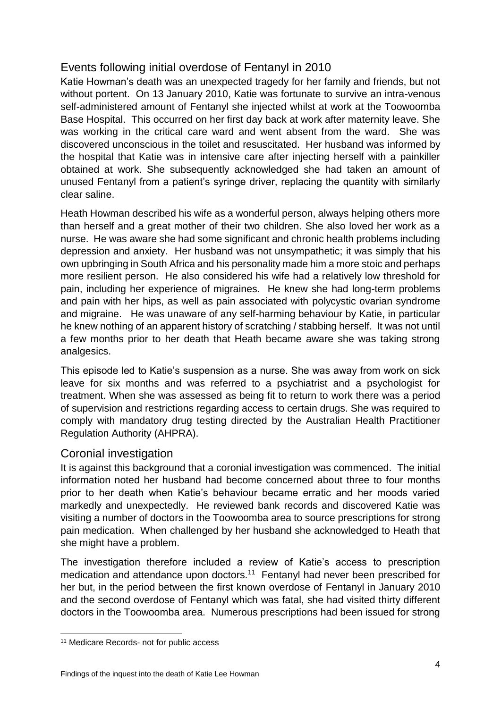# Events following initial overdose of Fentanyl in 2010

Katie Howman's death was an unexpected tragedy for her family and friends, but not without portent. On 13 January 2010, Katie was fortunate to survive an intra-venous self-administered amount of Fentanyl she injected whilst at work at the Toowoomba Base Hospital. This occurred on her first day back at work after maternity leave. She was working in the critical care ward and went absent from the ward. She was discovered unconscious in the toilet and resuscitated. Her husband was informed by the hospital that Katie was in intensive care after injecting herself with a painkiller obtained at work. She subsequently acknowledged she had taken an amount of unused Fentanyl from a patient's syringe driver, replacing the quantity with similarly clear saline.

Heath Howman described his wife as a wonderful person, always helping others more than herself and a great mother of their two children. She also loved her work as a nurse. He was aware she had some significant and chronic health problems including depression and anxiety. Her husband was not unsympathetic; it was simply that his own upbringing in South Africa and his personality made him a more stoic and perhaps more resilient person. He also considered his wife had a relatively low threshold for pain, including her experience of migraines. He knew she had long-term problems and pain with her hips, as well as pain associated with polycystic ovarian syndrome and migraine. He was unaware of any self-harming behaviour by Katie, in particular he knew nothing of an apparent history of scratching / stabbing herself. It was not until a few months prior to her death that Heath became aware she was taking strong analgesics.

This episode led to Katie's suspension as a nurse. She was away from work on sick leave for six months and was referred to a psychiatrist and a psychologist for treatment. When she was assessed as being fit to return to work there was a period of supervision and restrictions regarding access to certain drugs. She was required to comply with mandatory drug testing directed by the Australian Health Practitioner Regulation Authority (AHPRA).

## Coronial investigation

It is against this background that a coronial investigation was commenced. The initial information noted her husband had become concerned about three to four months prior to her death when Katie's behaviour became erratic and her moods varied markedly and unexpectedly. He reviewed bank records and discovered Katie was visiting a number of doctors in the Toowoomba area to source prescriptions for strong pain medication. When challenged by her husband she acknowledged to Heath that she might have a problem.

The investigation therefore included a review of Katie's access to prescription medication and attendance upon doctors.<sup>11</sup> Fentanyl had never been prescribed for her but, in the period between the first known overdose of Fentanyl in January 2010 and the second overdose of Fentanyl which was fatal, she had visited thirty different doctors in the Toowoomba area. Numerous prescriptions had been issued for strong

<sup>&</sup>lt;sup>11</sup> Medicare Records- not for public access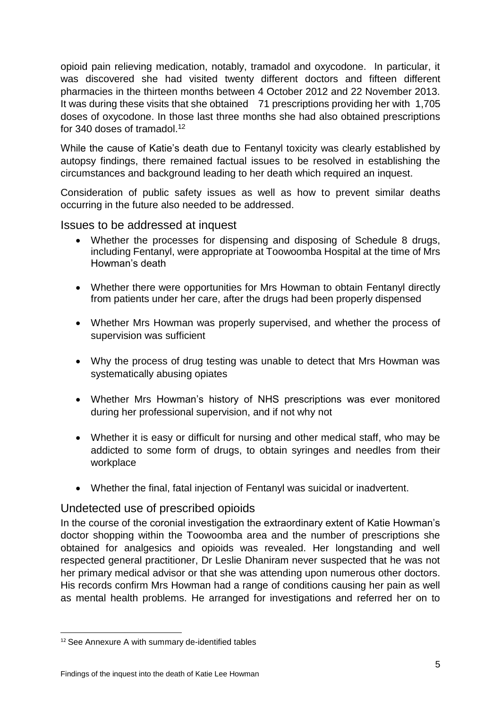opioid pain relieving medication, notably, tramadol and oxycodone. In particular, it was discovered she had visited twenty different doctors and fifteen different pharmacies in the thirteen months between 4 October 2012 and 22 November 2013. It was during these visits that she obtained 71 prescriptions providing her with 1,705 doses of oxycodone. In those last three months she had also obtained prescriptions for 340 doses of tramadol.<sup>12</sup>

While the cause of Katie's death due to Fentanyl toxicity was clearly established by autopsy findings, there remained factual issues to be resolved in establishing the circumstances and background leading to her death which required an inquest.

Consideration of public safety issues as well as how to prevent similar deaths occurring in the future also needed to be addressed.

Issues to be addressed at inquest

- Whether the processes for dispensing and disposing of Schedule 8 drugs, including Fentanyl, were appropriate at Toowoomba Hospital at the time of Mrs Howman's death
- Whether there were opportunities for Mrs Howman to obtain Fentanyl directly from patients under her care, after the drugs had been properly dispensed
- Whether Mrs Howman was properly supervised, and whether the process of supervision was sufficient
- Why the process of drug testing was unable to detect that Mrs Howman was systematically abusing opiates
- Whether Mrs Howman's history of NHS prescriptions was ever monitored during her professional supervision, and if not why not
- Whether it is easy or difficult for nursing and other medical staff, who may be addicted to some form of drugs, to obtain syringes and needles from their workplace
- Whether the final, fatal injection of Fentanyl was suicidal or inadvertent.

# Undetected use of prescribed opioids

In the course of the coronial investigation the extraordinary extent of Katie Howman's doctor shopping within the Toowoomba area and the number of prescriptions she obtained for analgesics and opioids was revealed. Her longstanding and well respected general practitioner, Dr Leslie Dhaniram never suspected that he was not her primary medical advisor or that she was attending upon numerous other doctors. His records confirm Mrs Howman had a range of conditions causing her pain as well as mental health problems. He arranged for investigations and referred her on to

<sup>12</sup> See Annexure A with summary de-identified tables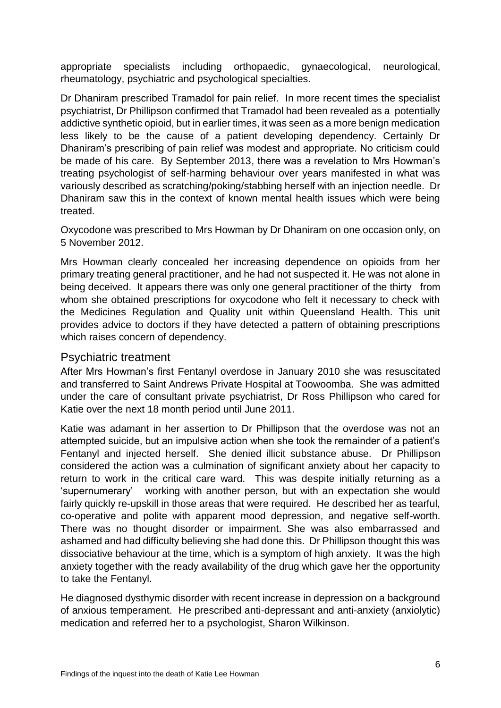appropriate specialists including orthopaedic, gynaecological, neurological, rheumatology, psychiatric and psychological specialties.

Dr Dhaniram prescribed Tramadol for pain relief. In more recent times the specialist psychiatrist, Dr Phillipson confirmed that Tramadol had been revealed as a potentially addictive synthetic opioid, but in earlier times, it was seen as a more benign medication less likely to be the cause of a patient developing dependency. Certainly Dr Dhaniram's prescribing of pain relief was modest and appropriate. No criticism could be made of his care. By September 2013, there was a revelation to Mrs Howman's treating psychologist of self-harming behaviour over years manifested in what was variously described as scratching/poking/stabbing herself with an injection needle. Dr Dhaniram saw this in the context of known mental health issues which were being treated.

Oxycodone was prescribed to Mrs Howman by Dr Dhaniram on one occasion only, on 5 November 2012.

Mrs Howman clearly concealed her increasing dependence on opioids from her primary treating general practitioner, and he had not suspected it. He was not alone in being deceived. It appears there was only one general practitioner of the thirty from whom she obtained prescriptions for oxycodone who felt it necessary to check with the Medicines Regulation and Quality unit within Queensland Health. This unit provides advice to doctors if they have detected a pattern of obtaining prescriptions which raises concern of dependency.

## Psychiatric treatment

After Mrs Howman's first Fentanyl overdose in January 2010 she was resuscitated and transferred to Saint Andrews Private Hospital at Toowoomba. She was admitted under the care of consultant private psychiatrist, Dr Ross Phillipson who cared for Katie over the next 18 month period until June 2011.

Katie was adamant in her assertion to Dr Phillipson that the overdose was not an attempted suicide, but an impulsive action when she took the remainder of a patient's Fentanyl and injected herself. She denied illicit substance abuse. Dr Phillipson considered the action was a culmination of significant anxiety about her capacity to return to work in the critical care ward. This was despite initially returning as a 'supernumerary' working with another person, but with an expectation she would fairly quickly re-upskill in those areas that were required. He described her as tearful, co-operative and polite with apparent mood depression, and negative self-worth. There was no thought disorder or impairment. She was also embarrassed and ashamed and had difficulty believing she had done this. Dr Phillipson thought this was dissociative behaviour at the time, which is a symptom of high anxiety. It was the high anxiety together with the ready availability of the drug which gave her the opportunity to take the Fentanyl.

He diagnosed dysthymic disorder with recent increase in depression on a background of anxious temperament. He prescribed anti-depressant and anti-anxiety (anxiolytic) medication and referred her to a psychologist, Sharon Wilkinson.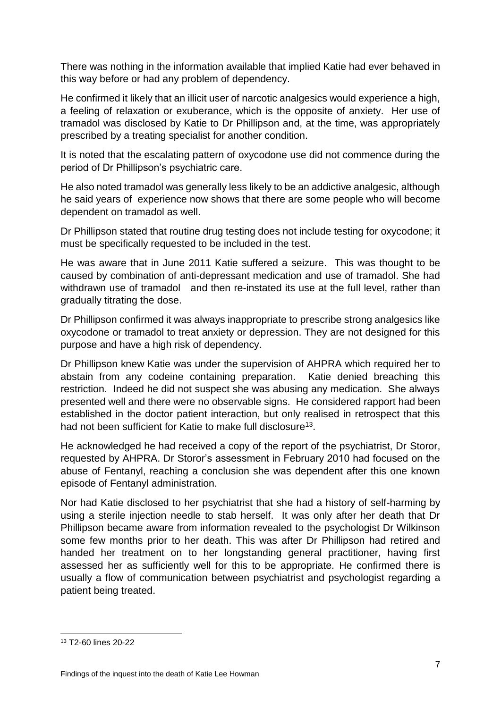There was nothing in the information available that implied Katie had ever behaved in this way before or had any problem of dependency.

He confirmed it likely that an illicit user of narcotic analgesics would experience a high, a feeling of relaxation or exuberance, which is the opposite of anxiety. Her use of tramadol was disclosed by Katie to Dr Phillipson and, at the time, was appropriately prescribed by a treating specialist for another condition.

It is noted that the escalating pattern of oxycodone use did not commence during the period of Dr Phillipson's psychiatric care.

He also noted tramadol was generally less likely to be an addictive analgesic, although he said years of experience now shows that there are some people who will become dependent on tramadol as well.

Dr Phillipson stated that routine drug testing does not include testing for oxycodone; it must be specifically requested to be included in the test.

He was aware that in June 2011 Katie suffered a seizure. This was thought to be caused by combination of anti-depressant medication and use of tramadol. She had withdrawn use of tramadol and then re-instated its use at the full level, rather than gradually titrating the dose.

Dr Phillipson confirmed it was always inappropriate to prescribe strong analgesics like oxycodone or tramadol to treat anxiety or depression. They are not designed for this purpose and have a high risk of dependency.

Dr Phillipson knew Katie was under the supervision of AHPRA which required her to abstain from any codeine containing preparation. Katie denied breaching this restriction. Indeed he did not suspect she was abusing any medication. She always presented well and there were no observable signs. He considered rapport had been established in the doctor patient interaction, but only realised in retrospect that this had not been sufficient for Katie to make full disclosure<sup>13</sup>.

He acknowledged he had received a copy of the report of the psychiatrist, Dr Storor, requested by AHPRA. Dr Storor's assessment in February 2010 had focused on the abuse of Fentanyl, reaching a conclusion she was dependent after this one known episode of Fentanyl administration.

Nor had Katie disclosed to her psychiatrist that she had a history of self-harming by using a sterile injection needle to stab herself. It was only after her death that Dr Phillipson became aware from information revealed to the psychologist Dr Wilkinson some few months prior to her death. This was after Dr Phillipson had retired and handed her treatment on to her longstanding general practitioner, having first assessed her as sufficiently well for this to be appropriate. He confirmed there is usually a flow of communication between psychiatrist and psychologist regarding a patient being treated.

<sup>13</sup> T2-60 lines 20-22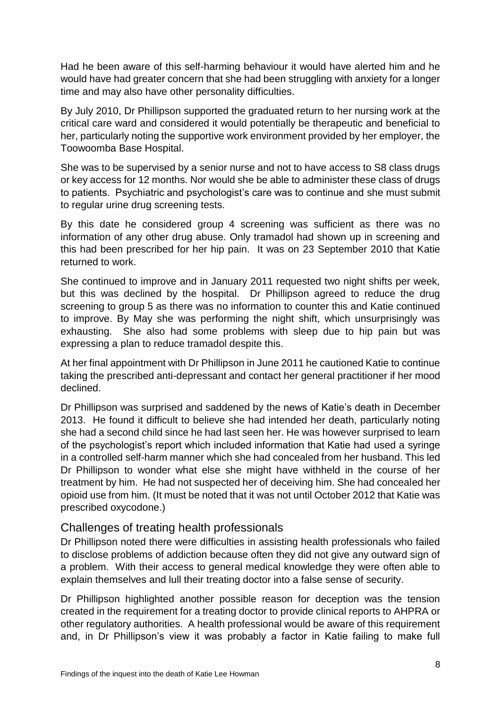Had he been aware of this self-harming behaviour it would have alerted him and he would have had greater concern that she had been struggling with anxiety for a longer time and may also have other personality difficulties.

By July 2010, Dr Phillipson supported the graduated return to her nursing work at the critical care ward and considered it would potentially be therapeutic and beneficial to her, particularly noting the supportive work environment provided by her employer, the Toowoomba Base Hospital.

She was to be supervised by a senior nurse and not to have access to S8 class drugs or key access for 12 months. Nor would she be able to administer these class of drugs to patients. Psychiatric and psychologist's care was to continue and she must submit to regular urine drug screening tests.

By this date he considered group 4 screening was sufficient as there was no information of any other drug abuse. Only tramadol had shown up in screening and this had been prescribed for her hip pain. It was on 23 September 2010 that Katie returned to work.

She continued to improve and in January 2011 requested two night shifts per week, but this was declined by the hospital. Dr Phillipson agreed to reduce the drug screening to group 5 as there was no information to counter this and Katie continued to improve. By May she was performing the night shift, which unsurprisingly was exhausting. She also had some problems with sleep due to hip pain but was expressing a plan to reduce tramadol despite this.

At her final appointment with Dr Phillipson in June 2011 he cautioned Katie to continue taking the prescribed anti-depressant and contact her general practitioner if her mood declined.

Dr Phillipson was surprised and saddened by the news of Katie's death in December 2013. He found it difficult to believe she had intended her death, particularly noting she had a second child since he had last seen her. He was however surprised to learn of the psychologist's report which included information that Katie had used a syringe in a controlled self-harm manner which she had concealed from her husband. This led Dr Phillipson to wonder what else she might have withheld in the course of her treatment by him. He had not suspected her of deceiving him. She had concealed her opioid use from him. (It must be noted that it was not until October 2012 that Katie was prescribed oxycodone.)

## Challenges of treating health professionals

Dr Phillipson noted there were difficulties in assisting health professionals who failed to disclose problems of addiction because often they did not give any outward sign of a problem. With their access to general medical knowledge they were often able to explain themselves and lull their treating doctor into a false sense of security.

Dr Phillipson highlighted another possible reason for deception was the tension created in the requirement for a treating doctor to provide clinical reports to AHPRA or other regulatory authorities. A health professional would be aware of this requirement and, in Dr Phillipson's view it was probably a factor in Katie failing to make full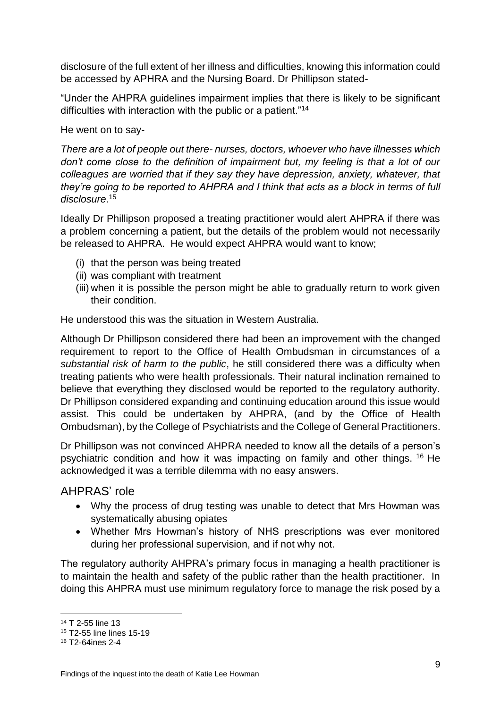disclosure of the full extent of her illness and difficulties, knowing this information could be accessed by APHRA and the Nursing Board. Dr Phillipson stated-

"Under the AHPRA guidelines impairment implies that there is likely to be significant difficulties with interaction with the public or a patient."<sup>14</sup>

He went on to say-

*There are a lot of people out there- nurses, doctors, whoever who have illnesses which don't come close to the definition of impairment but, my feeling is that a lot of our colleagues are worried that if they say they have depression, anxiety, whatever, that they're going to be reported to AHPRA and I think that acts as a block in terms of full disclosure*. 15

Ideally Dr Phillipson proposed a treating practitioner would alert AHPRA if there was a problem concerning a patient, but the details of the problem would not necessarily be released to AHPRA. He would expect AHPRA would want to know;

- (i) that the person was being treated
- (ii) was compliant with treatment
- (iii) when it is possible the person might be able to gradually return to work given their condition.

He understood this was the situation in Western Australia.

Although Dr Phillipson considered there had been an improvement with the changed requirement to report to the Office of Health Ombudsman in circumstances of a *substantial risk of harm to the public*, he still considered there was a difficulty when treating patients who were health professionals. Their natural inclination remained to believe that everything they disclosed would be reported to the regulatory authority. Dr Phillipson considered expanding and continuing education around this issue would assist. This could be undertaken by AHPRA, (and by the Office of Health Ombudsman), by the College of Psychiatrists and the College of General Practitioners.

Dr Phillipson was not convinced AHPRA needed to know all the details of a person's psychiatric condition and how it was impacting on family and other things. <sup>16</sup> He acknowledged it was a terrible dilemma with no easy answers.

## AHPRAS' role

- Why the process of drug testing was unable to detect that Mrs Howman was systematically abusing opiates
- Whether Mrs Howman's history of NHS prescriptions was ever monitored during her professional supervision, and if not why not.

The regulatory authority AHPRA's primary focus in managing a health practitioner is to maintain the health and safety of the public rather than the health practitioner. In doing this AHPRA must use minimum regulatory force to manage the risk posed by a

1

<sup>14</sup> T 2-55 line 13

<sup>15</sup> T2-55 line lines 15-19

<sup>16</sup> T2-64ines 2-4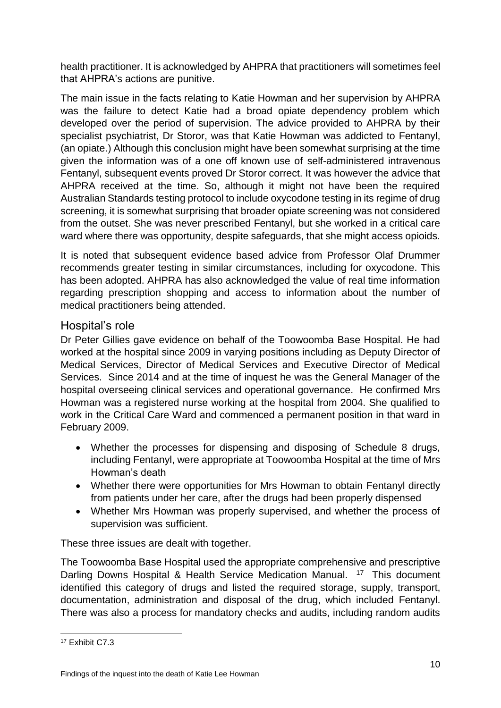health practitioner. It is acknowledged by AHPRA that practitioners will sometimes feel that AHPRA's actions are punitive.

The main issue in the facts relating to Katie Howman and her supervision by AHPRA was the failure to detect Katie had a broad opiate dependency problem which developed over the period of supervision. The advice provided to AHPRA by their specialist psychiatrist, Dr Storor, was that Katie Howman was addicted to Fentanyl, (an opiate.) Although this conclusion might have been somewhat surprising at the time given the information was of a one off known use of self-administered intravenous Fentanyl, subsequent events proved Dr Storor correct. It was however the advice that AHPRA received at the time. So, although it might not have been the required Australian Standards testing protocol to include oxycodone testing in its regime of drug screening, it is somewhat surprising that broader opiate screening was not considered from the outset. She was never prescribed Fentanyl, but she worked in a critical care ward where there was opportunity, despite safeguards, that she might access opioids.

It is noted that subsequent evidence based advice from Professor Olaf Drummer recommends greater testing in similar circumstances, including for oxycodone. This has been adopted. AHPRA has also acknowledged the value of real time information regarding prescription shopping and access to information about the number of medical practitioners being attended.

## Hospital's role

Dr Peter Gillies gave evidence on behalf of the Toowoomba Base Hospital. He had worked at the hospital since 2009 in varying positions including as Deputy Director of Medical Services, Director of Medical Services and Executive Director of Medical Services. Since 2014 and at the time of inquest he was the General Manager of the hospital overseeing clinical services and operational governance. He confirmed Mrs Howman was a registered nurse working at the hospital from 2004. She qualified to work in the Critical Care Ward and commenced a permanent position in that ward in February 2009.

- Whether the processes for dispensing and disposing of Schedule 8 drugs, including Fentanyl, were appropriate at Toowoomba Hospital at the time of Mrs Howman's death
- Whether there were opportunities for Mrs Howman to obtain Fentanyl directly from patients under her care, after the drugs had been properly dispensed
- Whether Mrs Howman was properly supervised, and whether the process of supervision was sufficient.

These three issues are dealt with together.

The Toowoomba Base Hospital used the appropriate comprehensive and prescriptive Darling Downs Hospital & Health Service Medication Manual. <sup>17</sup> This document identified this category of drugs and listed the required storage, supply, transport, documentation, administration and disposal of the drug, which included Fentanyl. There was also a process for mandatory checks and audits, including random audits

<sup>17</sup> Exhibit C7.3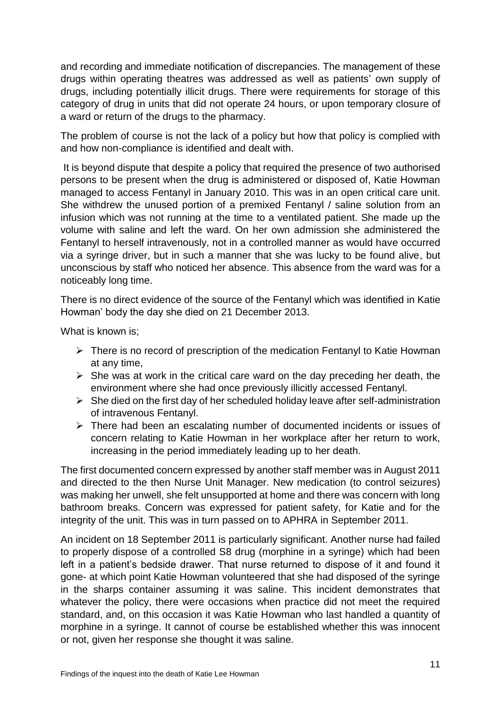and recording and immediate notification of discrepancies. The management of these drugs within operating theatres was addressed as well as patients' own supply of drugs, including potentially illicit drugs. There were requirements for storage of this category of drug in units that did not operate 24 hours, or upon temporary closure of a ward or return of the drugs to the pharmacy.

The problem of course is not the lack of a policy but how that policy is complied with and how non-compliance is identified and dealt with.

It is beyond dispute that despite a policy that required the presence of two authorised persons to be present when the drug is administered or disposed of, Katie Howman managed to access Fentanyl in January 2010. This was in an open critical care unit. She withdrew the unused portion of a premixed Fentanyl / saline solution from an infusion which was not running at the time to a ventilated patient. She made up the volume with saline and left the ward. On her own admission she administered the Fentanyl to herself intravenously, not in a controlled manner as would have occurred via a syringe driver, but in such a manner that she was lucky to be found alive, but unconscious by staff who noticed her absence. This absence from the ward was for a noticeably long time.

There is no direct evidence of the source of the Fentanyl which was identified in Katie Howman' body the day she died on 21 December 2013.

What is known is;

- $\triangleright$  There is no record of prescription of the medication Fentanyl to Katie Howman at any time,
- $\triangleright$  She was at work in the critical care ward on the day preceding her death, the environment where she had once previously illicitly accessed Fentanyl.
- $\triangleright$  She died on the first day of her scheduled holiday leave after self-administration of intravenous Fentanyl.
- $\triangleright$  There had been an escalating number of documented incidents or issues of concern relating to Katie Howman in her workplace after her return to work, increasing in the period immediately leading up to her death.

The first documented concern expressed by another staff member was in August 2011 and directed to the then Nurse Unit Manager. New medication (to control seizures) was making her unwell, she felt unsupported at home and there was concern with long bathroom breaks. Concern was expressed for patient safety, for Katie and for the integrity of the unit. This was in turn passed on to APHRA in September 2011.

An incident on 18 September 2011 is particularly significant. Another nurse had failed to properly dispose of a controlled S8 drug (morphine in a syringe) which had been left in a patient's bedside drawer. That nurse returned to dispose of it and found it gone- at which point Katie Howman volunteered that she had disposed of the syringe in the sharps container assuming it was saline. This incident demonstrates that whatever the policy, there were occasions when practice did not meet the required standard, and, on this occasion it was Katie Howman who last handled a quantity of morphine in a syringe. It cannot of course be established whether this was innocent or not, given her response she thought it was saline.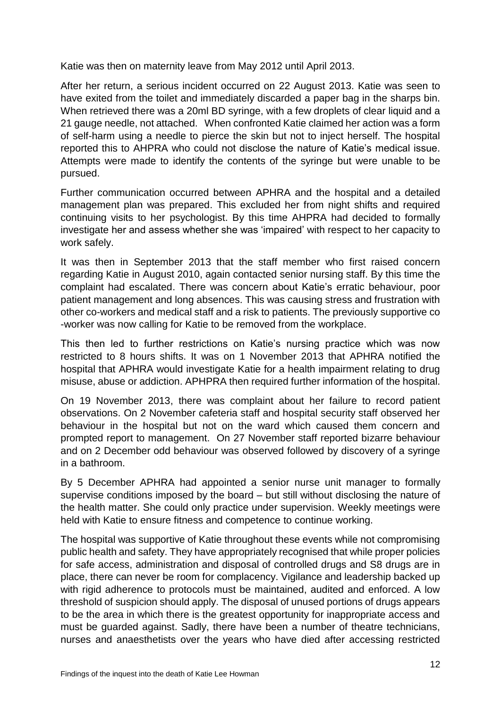Katie was then on maternity leave from May 2012 until April 2013.

After her return, a serious incident occurred on 22 August 2013. Katie was seen to have exited from the toilet and immediately discarded a paper bag in the sharps bin. When retrieved there was a 20ml BD syringe, with a few droplets of clear liquid and a 21 gauge needle, not attached. When confronted Katie claimed her action was a form of self-harm using a needle to pierce the skin but not to inject herself. The hospital reported this to AHPRA who could not disclose the nature of Katie's medical issue. Attempts were made to identify the contents of the syringe but were unable to be pursued.

Further communication occurred between APHRA and the hospital and a detailed management plan was prepared. This excluded her from night shifts and required continuing visits to her psychologist. By this time AHPRA had decided to formally investigate her and assess whether she was 'impaired' with respect to her capacity to work safely.

It was then in September 2013 that the staff member who first raised concern regarding Katie in August 2010, again contacted senior nursing staff. By this time the complaint had escalated. There was concern about Katie's erratic behaviour, poor patient management and long absences. This was causing stress and frustration with other co-workers and medical staff and a risk to patients. The previously supportive co -worker was now calling for Katie to be removed from the workplace.

This then led to further restrictions on Katie's nursing practice which was now restricted to 8 hours shifts. It was on 1 November 2013 that APHRA notified the hospital that APHRA would investigate Katie for a health impairment relating to drug misuse, abuse or addiction. APHPRA then required further information of the hospital.

On 19 November 2013, there was complaint about her failure to record patient observations. On 2 November cafeteria staff and hospital security staff observed her behaviour in the hospital but not on the ward which caused them concern and prompted report to management. On 27 November staff reported bizarre behaviour and on 2 December odd behaviour was observed followed by discovery of a syringe in a bathroom.

By 5 December APHRA had appointed a senior nurse unit manager to formally supervise conditions imposed by the board – but still without disclosing the nature of the health matter. She could only practice under supervision. Weekly meetings were held with Katie to ensure fitness and competence to continue working.

The hospital was supportive of Katie throughout these events while not compromising public health and safety. They have appropriately recognised that while proper policies for safe access, administration and disposal of controlled drugs and S8 drugs are in place, there can never be room for complacency. Vigilance and leadership backed up with rigid adherence to protocols must be maintained, audited and enforced. A low threshold of suspicion should apply. The disposal of unused portions of drugs appears to be the area in which there is the greatest opportunity for inappropriate access and must be guarded against. Sadly, there have been a number of theatre technicians, nurses and anaesthetists over the years who have died after accessing restricted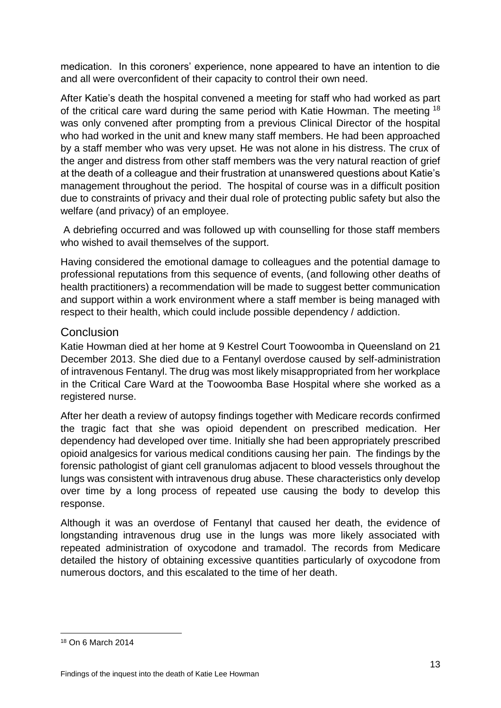medication. In this coroners' experience, none appeared to have an intention to die and all were overconfident of their capacity to control their own need.

After Katie's death the hospital convened a meeting for staff who had worked as part of the critical care ward during the same period with Katie Howman. The meeting <sup>18</sup> was only convened after prompting from a previous Clinical Director of the hospital who had worked in the unit and knew many staff members. He had been approached by a staff member who was very upset. He was not alone in his distress. The crux of the anger and distress from other staff members was the very natural reaction of grief at the death of a colleague and their frustration at unanswered questions about Katie's management throughout the period. The hospital of course was in a difficult position due to constraints of privacy and their dual role of protecting public safety but also the welfare (and privacy) of an employee.

A debriefing occurred and was followed up with counselling for those staff members who wished to avail themselves of the support.

Having considered the emotional damage to colleagues and the potential damage to professional reputations from this sequence of events, (and following other deaths of health practitioners) a recommendation will be made to suggest better communication and support within a work environment where a staff member is being managed with respect to their health, which could include possible dependency / addiction.

## **Conclusion**

Katie Howman died at her home at 9 Kestrel Court Toowoomba in Queensland on 21 December 2013. She died due to a Fentanyl overdose caused by self-administration of intravenous Fentanyl. The drug was most likely misappropriated from her workplace in the Critical Care Ward at the Toowoomba Base Hospital where she worked as a registered nurse.

After her death a review of autopsy findings together with Medicare records confirmed the tragic fact that she was opioid dependent on prescribed medication. Her dependency had developed over time. Initially she had been appropriately prescribed opioid analgesics for various medical conditions causing her pain. The findings by the forensic pathologist of giant cell granulomas adjacent to blood vessels throughout the lungs was consistent with intravenous drug abuse. These characteristics only develop over time by a long process of repeated use causing the body to develop this response.

Although it was an overdose of Fentanyl that caused her death, the evidence of longstanding intravenous drug use in the lungs was more likely associated with repeated administration of oxycodone and tramadol. The records from Medicare detailed the history of obtaining excessive quantities particularly of oxycodone from numerous doctors, and this escalated to the time of her death.

<sup>18</sup> On 6 March 2014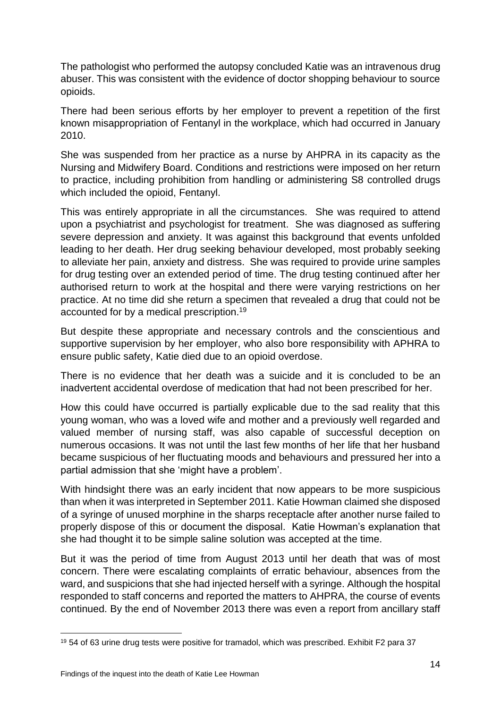The pathologist who performed the autopsy concluded Katie was an intravenous drug abuser. This was consistent with the evidence of doctor shopping behaviour to source opioids.

There had been serious efforts by her employer to prevent a repetition of the first known misappropriation of Fentanyl in the workplace, which had occurred in January 2010.

She was suspended from her practice as a nurse by AHPRA in its capacity as the Nursing and Midwifery Board. Conditions and restrictions were imposed on her return to practice, including prohibition from handling or administering S8 controlled drugs which included the opioid, Fentanyl.

This was entirely appropriate in all the circumstances. She was required to attend upon a psychiatrist and psychologist for treatment. She was diagnosed as suffering severe depression and anxiety. It was against this background that events unfolded leading to her death. Her drug seeking behaviour developed, most probably seeking to alleviate her pain, anxiety and distress. She was required to provide urine samples for drug testing over an extended period of time. The drug testing continued after her authorised return to work at the hospital and there were varying restrictions on her practice. At no time did she return a specimen that revealed a drug that could not be accounted for by a medical prescription.<sup>19</sup>

But despite these appropriate and necessary controls and the conscientious and supportive supervision by her employer, who also bore responsibility with APHRA to ensure public safety, Katie died due to an opioid overdose.

There is no evidence that her death was a suicide and it is concluded to be an inadvertent accidental overdose of medication that had not been prescribed for her.

How this could have occurred is partially explicable due to the sad reality that this young woman, who was a loved wife and mother and a previously well regarded and valued member of nursing staff, was also capable of successful deception on numerous occasions. It was not until the last few months of her life that her husband became suspicious of her fluctuating moods and behaviours and pressured her into a partial admission that she 'might have a problem'.

With hindsight there was an early incident that now appears to be more suspicious than when it was interpreted in September 2011. Katie Howman claimed she disposed of a syringe of unused morphine in the sharps receptacle after another nurse failed to properly dispose of this or document the disposal. Katie Howman's explanation that she had thought it to be simple saline solution was accepted at the time.

But it was the period of time from August 2013 until her death that was of most concern. There were escalating complaints of erratic behaviour, absences from the ward, and suspicions that she had injected herself with a syringe. Although the hospital responded to staff concerns and reported the matters to AHPRA, the course of events continued. By the end of November 2013 there was even a report from ancillary staff

**<sup>.</sup>** <sup>19</sup> 54 of 63 urine drug tests were positive for tramadol, which was prescribed. Exhibit F2 para 37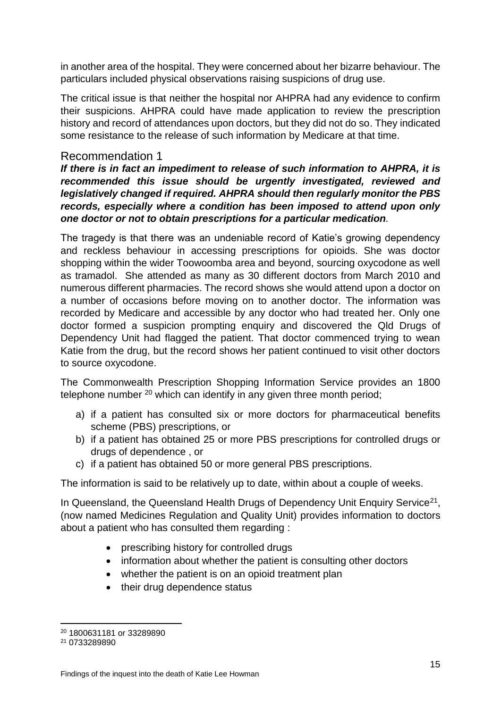in another area of the hospital. They were concerned about her bizarre behaviour. The particulars included physical observations raising suspicions of drug use.

The critical issue is that neither the hospital nor AHPRA had any evidence to confirm their suspicions. AHPRA could have made application to review the prescription history and record of attendances upon doctors, but they did not do so. They indicated some resistance to the release of such information by Medicare at that time.

## Recommendation 1

*If there is in fact an impediment to release of such information to AHPRA, it is recommended this issue should be urgently investigated, reviewed and legislatively changed if required. AHPRA should then regularly monitor the PBS records, especially where a condition has been imposed to attend upon only one doctor or not to obtain prescriptions for a particular medication.* 

The tragedy is that there was an undeniable record of Katie's growing dependency and reckless behaviour in accessing prescriptions for opioids. She was doctor shopping within the wider Toowoomba area and beyond, sourcing oxycodone as well as tramadol. She attended as many as 30 different doctors from March 2010 and numerous different pharmacies. The record shows she would attend upon a doctor on a number of occasions before moving on to another doctor. The information was recorded by Medicare and accessible by any doctor who had treated her. Only one doctor formed a suspicion prompting enquiry and discovered the Qld Drugs of Dependency Unit had flagged the patient. That doctor commenced trying to wean Katie from the drug, but the record shows her patient continued to visit other doctors to source oxycodone.

The Commonwealth Prescription Shopping Information Service provides an 1800 telephone number  $20$  which can identify in any given three month period;

- a) if a patient has consulted six or more doctors for pharmaceutical benefits scheme (PBS) prescriptions, or
- b) if a patient has obtained 25 or more PBS prescriptions for controlled drugs or drugs of dependence , or
- c) if a patient has obtained 50 or more general PBS prescriptions.

The information is said to be relatively up to date, within about a couple of weeks.

In Queensland, the Queensland Health Drugs of Dependency Unit Enquiry Service<sup>21</sup>, (now named Medicines Regulation and Quality Unit) provides information to doctors about a patient who has consulted them regarding :

- prescribing history for controlled drugs
- information about whether the patient is consulting other doctors
- whether the patient is on an opioid treatment plan
- their drug dependence status

<sup>20</sup> 1800631181 or 33289890

<sup>21</sup> 0733289890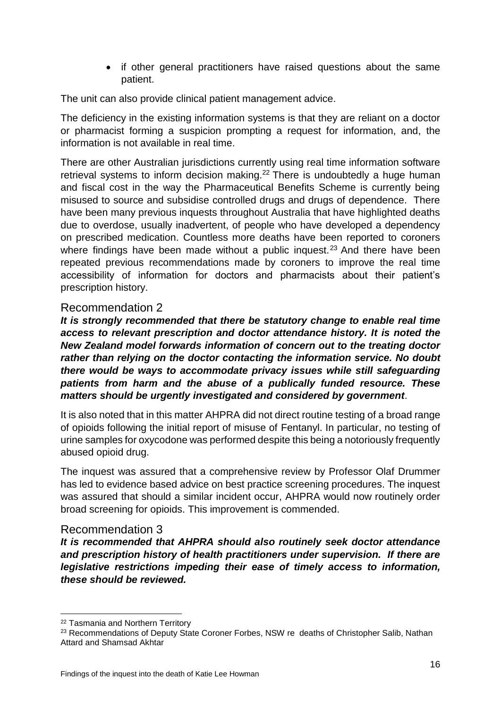• if other general practitioners have raised questions about the same patient.

The unit can also provide clinical patient management advice.

The deficiency in the existing information systems is that they are reliant on a doctor or pharmacist forming a suspicion prompting a request for information, and, the information is not available in real time.

There are other Australian jurisdictions currently using real time information software retrieval systems to inform decision making.<sup>22</sup> There is undoubtedly a huge human and fiscal cost in the way the Pharmaceutical Benefits Scheme is currently being misused to source and subsidise controlled drugs and drugs of dependence. There have been many previous inquests throughout Australia that have highlighted deaths due to overdose, usually inadvertent, of people who have developed a dependency on prescribed medication. Countless more deaths have been reported to coroners where findings have been made without a public inquest.<sup>23</sup> And there have been repeated previous recommendations made by coroners to improve the real time accessibility of information for doctors and pharmacists about their patient's prescription history.

## Recommendation 2

*It is strongly recommended that there be statutory change to enable real time access to relevant prescription and doctor attendance history. It is noted the New Zealand model forwards information of concern out to the treating doctor rather than relying on the doctor contacting the information service. No doubt there would be ways to accommodate privacy issues while still safeguarding patients from harm and the abuse of a publically funded resource. These matters should be urgently investigated and considered by government*.

It is also noted that in this matter AHPRA did not direct routine testing of a broad range of opioids following the initial report of misuse of Fentanyl. In particular, no testing of urine samples for oxycodone was performed despite this being a notoriously frequently abused opioid drug.

The inquest was assured that a comprehensive review by Professor Olaf Drummer has led to evidence based advice on best practice screening procedures. The inquest was assured that should a similar incident occur, AHPRA would now routinely order broad screening for opioids. This improvement is commended.

## Recommendation 3

*It is recommended that AHPRA should also routinely seek doctor attendance and prescription history of health practitioners under supervision. If there are legislative restrictions impeding their ease of timely access to information, these should be reviewed.*

1

<sup>22</sup> Tasmania and Northern Territory

<sup>&</sup>lt;sup>23</sup> Recommendations of Deputy State Coroner Forbes, NSW re deaths of Christopher Salib, Nathan Attard and Shamsad Akhtar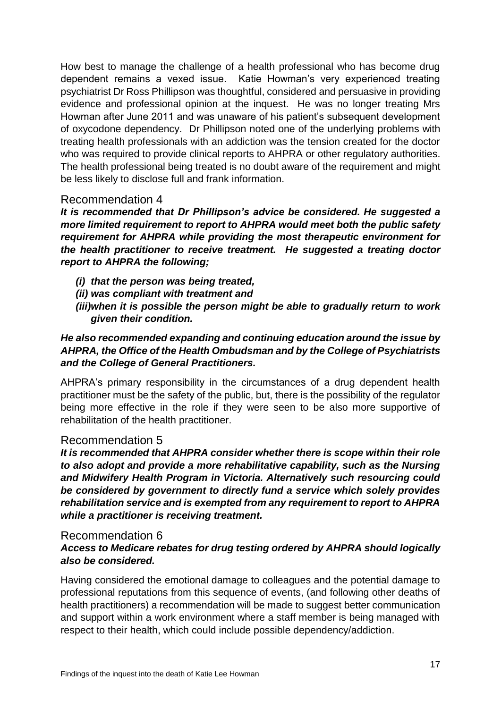How best to manage the challenge of a health professional who has become drug dependent remains a vexed issue. Katie Howman's very experienced treating psychiatrist Dr Ross Phillipson was thoughtful, considered and persuasive in providing evidence and professional opinion at the inquest. He was no longer treating Mrs Howman after June 2011 and was unaware of his patient's subsequent development of oxycodone dependency. Dr Phillipson noted one of the underlying problems with treating health professionals with an addiction was the tension created for the doctor who was required to provide clinical reports to AHPRA or other regulatory authorities. The health professional being treated is no doubt aware of the requirement and might be less likely to disclose full and frank information.

## Recommendation 4

*It is recommended that Dr Phillipson's advice be considered. He suggested a more limited requirement to report to AHPRA would meet both the public safety requirement for AHPRA while providing the most therapeutic environment for the health practitioner to receive treatment. He suggested a treating doctor report to AHPRA the following;* 

- *(i) that the person was being treated,*
- *(ii) was compliant with treatment and*
- *(iii)when it is possible the person might be able to gradually return to work given their condition.*

#### *He also recommended expanding and continuing education around the issue by AHPRA, the Office of the Health Ombudsman and by the College of Psychiatrists and the College of General Practitioners.*

AHPRA's primary responsibility in the circumstances of a drug dependent health practitioner must be the safety of the public, but, there is the possibility of the regulator being more effective in the role if they were seen to be also more supportive of rehabilitation of the health practitioner.

## Recommendation 5

*It is recommended that AHPRA consider whether there is scope within their role to also adopt and provide a more rehabilitative capability, such as the Nursing and Midwifery Health Program in Victoria. Alternatively such resourcing could be considered by government to directly fund a service which solely provides rehabilitation service and is exempted from any requirement to report to AHPRA while a practitioner is receiving treatment.* 

#### Recommendation 6

## *Access to Medicare rebates for drug testing ordered by AHPRA should logically also be considered.*

Having considered the emotional damage to colleagues and the potential damage to professional reputations from this sequence of events, (and following other deaths of health practitioners) a recommendation will be made to suggest better communication and support within a work environment where a staff member is being managed with respect to their health, which could include possible dependency/addiction.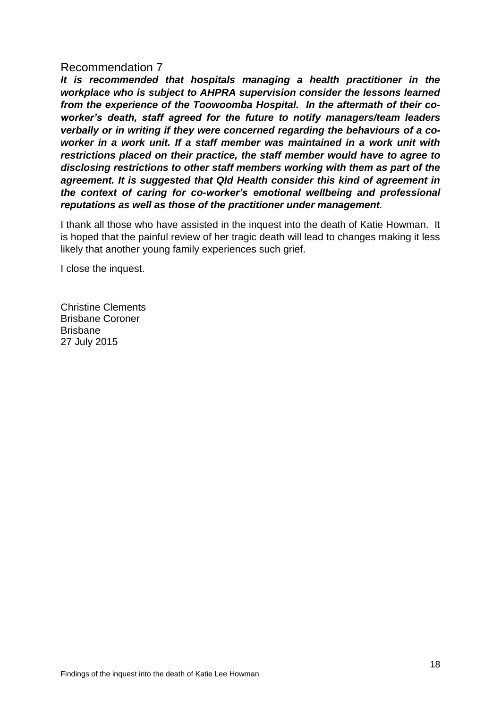## Recommendation 7

*It is recommended that hospitals managing a health practitioner in the workplace who is subject to AHPRA supervision consider the lessons learned from the experience of the Toowoomba Hospital. In the aftermath of their coworker's death, staff agreed for the future to notify managers/team leaders verbally or in writing if they were concerned regarding the behaviours of a coworker in a work unit. If a staff member was maintained in a work unit with restrictions placed on their practice, the staff member would have to agree to disclosing restrictions to other staff members working with them as part of the agreement. It is suggested that Qld Health consider this kind of agreement in the context of caring for co-worker's emotional wellbeing and professional reputations as well as those of the practitioner under management.* 

I thank all those who have assisted in the inquest into the death of Katie Howman. It is hoped that the painful review of her tragic death will lead to changes making it less likely that another young family experiences such grief.

I close the inquest.

Christine Clements Brisbane Coroner Brisbane 27 July 2015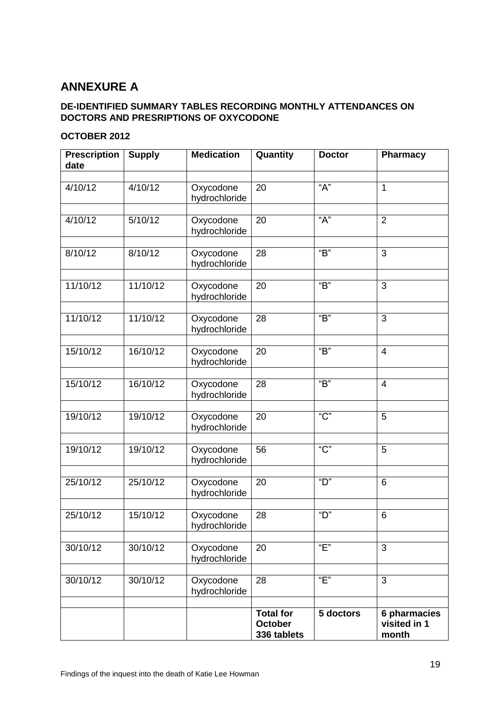# **ANNEXURE A**

#### **DE-IDENTIFIED SUMMARY TABLES RECORDING MONTHLY ATTENDANCES ON DOCTORS AND PRESRIPTIONS OF OXYCODONE**

#### **OCTOBER 2012**

| <b>Prescription</b><br>date | <b>Supply</b> | <b>Medication</b>          | Quantity                                          | <b>Doctor</b>           | <b>Pharmacy</b>                       |
|-----------------------------|---------------|----------------------------|---------------------------------------------------|-------------------------|---------------------------------------|
|                             |               |                            |                                                   |                         |                                       |
| 4/10/12                     | 4/10/12       | Oxycodone<br>hydrochloride | 20                                                | A''                     | 1                                     |
| 4/10/12                     | 5/10/12       | Oxycodone<br>hydrochloride | 20                                                | "A"                     | $\overline{2}$                        |
| 8/10/12                     | 8/10/12       | Oxycodone<br>hydrochloride | 28                                                | " $B$ "                 | 3                                     |
| 11/10/12                    | 11/10/12      | Oxycodone<br>hydrochloride | 20                                                | $\overline{B}$          | 3                                     |
| 11/10/12                    | 11/10/12      | Oxycodone<br>hydrochloride | 28                                                | " $B$ "                 | 3                                     |
|                             |               |                            |                                                   |                         |                                       |
| 15/10/12                    | 16/10/12      | Oxycodone<br>hydrochloride | 20                                                | $\overline{B}$          | $\overline{4}$                        |
| 15/10/12                    | 16/10/12      | Oxycodone<br>hydrochloride | 28                                                | $\overline{\mathbf{B}}$ | $\overline{4}$                        |
| 19/10/12                    | 19/10/12      | Oxycodone<br>hydrochloride | 20                                                | " $C$ "                 | 5                                     |
| 19/10/12                    | 19/10/12      | Oxycodone<br>hydrochloride | 56                                                | " $C$ "                 | 5                                     |
| 25/10/12                    | 25/10/12      | Oxycodone<br>hydrochloride | 20                                                | "D"                     | 6                                     |
| 25/10/12                    | 15/10/12      | Oxycodone<br>hydrochloride | 28                                                | "D"                     | 6                                     |
|                             |               |                            |                                                   |                         |                                       |
| 30/10/12                    | 30/10/12      | Oxycodone<br>hydrochloride | 20                                                | "E"                     | 3                                     |
| 30/10/12                    | 30/10/12      | Oxycodone<br>hydrochloride | 28                                                | "E"                     | 3                                     |
|                             |               |                            |                                                   |                         |                                       |
|                             |               |                            | <b>Total for</b><br><b>October</b><br>336 tablets | 5 doctors               | 6 pharmacies<br>visited in 1<br>month |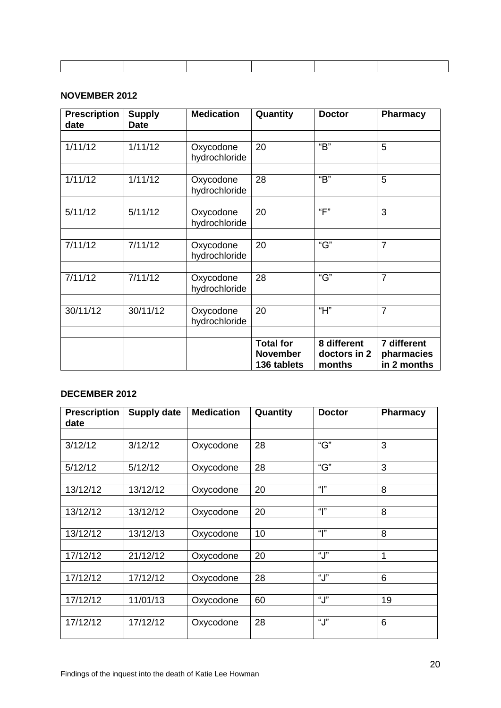#### **NOVEMBER 2012**

| <b>Prescription</b><br>date | <b>Supply</b><br><b>Date</b> | <b>Medication</b>          | Quantity                                           | <b>Doctor</b>                         | <b>Pharmacy</b>                          |
|-----------------------------|------------------------------|----------------------------|----------------------------------------------------|---------------------------------------|------------------------------------------|
|                             |                              |                            |                                                    |                                       |                                          |
| 1/11/12                     | 1/11/12                      | Oxycodone<br>hydrochloride | 20                                                 | $\overline{B}$                        | 5                                        |
|                             |                              |                            |                                                    |                                       |                                          |
| 1/11/12                     | 1/11/12                      | Oxycodone<br>hydrochloride | 28                                                 | $\overline{B}$                        | 5                                        |
|                             |                              |                            |                                                    |                                       |                                          |
| 5/11/12                     | 5/11/12                      | Oxycodone<br>hydrochloride | 20                                                 | $\overline{F}$                        | 3                                        |
|                             |                              |                            |                                                    |                                       |                                          |
| 7/11/12                     | 7/11/12                      | Oxycodone<br>hydrochloride | 20                                                 | $\overline{G}$                        | $\overline{7}$                           |
|                             |                              |                            |                                                    |                                       |                                          |
| 7/11/12                     | 7/11/12                      | Oxycodone<br>hydrochloride | 28                                                 | $\overline{G}$                        | $\overline{7}$                           |
|                             |                              |                            |                                                    |                                       |                                          |
| 30/11/12                    | 30/11/12                     | Oxycodone<br>hydrochloride | 20                                                 | "H"                                   | $\overline{7}$                           |
|                             |                              |                            |                                                    |                                       |                                          |
|                             |                              |                            | <b>Total for</b><br><b>November</b><br>136 tablets | 8 different<br>doctors in 2<br>months | 7 different<br>pharmacies<br>in 2 months |

#### **DECEMBER 2012**

| <b>Prescription</b><br>date | <b>Supply date</b> | <b>Medication</b> | Quantity | <b>Doctor</b> | <b>Pharmacy</b> |
|-----------------------------|--------------------|-------------------|----------|---------------|-----------------|
|                             |                    |                   |          |               |                 |
| 3/12/12                     | 3/12/12            | Oxycodone         | 28       | "G"           | 3               |
|                             |                    |                   |          |               |                 |
| 5/12/12                     | 5/12/12            | Oxycodone         | 28       | "G"           | 3               |
|                             |                    |                   |          |               |                 |
| 13/12/12                    | 13/12/12           | Oxycodone         | 20       | " "           | 8               |
|                             |                    |                   |          |               |                 |
| 13/12/12                    | 13/12/12           | Oxycodone         | 20       | " "           | 8               |
|                             |                    |                   |          |               |                 |
| 13/12/12                    | 13/12/13           | Oxycodone         | 10       | " $\vert$ "   | 8               |
|                             |                    |                   |          |               |                 |
| 17/12/12                    | 21/12/12           | Oxycodone         | 20       | "J"           | 1               |
|                             |                    |                   |          |               |                 |
| 17/12/12                    | 17/12/12           | Oxycodone         | 28       | "J"           | 6               |
|                             |                    |                   |          |               |                 |
| 17/12/12                    | 11/01/13           | Oxycodone         | 60       | "J"           | 19              |
|                             |                    |                   |          |               |                 |
| 17/12/12                    | 17/12/12           | Oxycodone         | 28       | "J"           | 6               |
|                             |                    |                   |          |               |                 |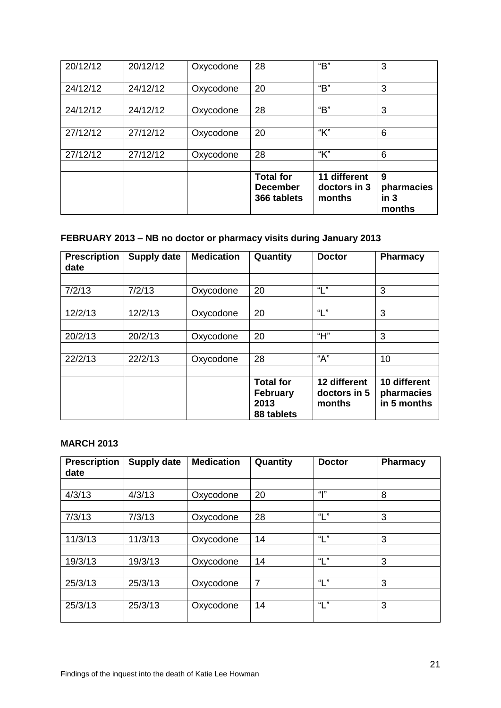|          |          |           | <b>Total for</b><br><b>December</b><br>366 tablets | 11 different<br>doctors in 3<br>months | 9<br>pharmacies<br>in <sub>3</sub><br>months |
|----------|----------|-----------|----------------------------------------------------|----------------------------------------|----------------------------------------------|
|          |          |           |                                                    |                                        |                                              |
| 27/12/12 | 27/12/12 | Oxycodone | 28                                                 | "К"                                    | 6                                            |
|          |          |           |                                                    |                                        |                                              |
| 27/12/12 | 27/12/12 | Oxycodone | 20                                                 | "К"                                    | 6                                            |
|          |          |           |                                                    |                                        |                                              |
| 24/12/12 | 24/12/12 | Oxycodone | 28                                                 | "В"                                    | 3                                            |
|          |          |           |                                                    |                                        |                                              |
| 24/12/12 | 24/12/12 | Oxycodone | 20                                                 | "В"                                    | 3                                            |
|          |          |           |                                                    |                                        |                                              |
| 20/12/12 | 20/12/12 | Oxycodone | 28                                                 | "В"                                    | 3                                            |

# **FEBRUARY 2013 – NB no doctor or pharmacy visits during January 2013**

| <b>Prescription</b><br>date | <b>Supply date</b> | <b>Medication</b> | Quantity                                                  | <b>Doctor</b>                          | <b>Pharmacy</b>                           |
|-----------------------------|--------------------|-------------------|-----------------------------------------------------------|----------------------------------------|-------------------------------------------|
|                             |                    |                   |                                                           |                                        |                                           |
| 7/2/13                      | 7/2/13             | Oxycodone         | 20                                                        | "L"                                    | 3                                         |
|                             |                    |                   |                                                           |                                        |                                           |
| 12/2/13                     | 12/2/13            | Oxycodone         | 20                                                        | "1"                                    | 3                                         |
|                             |                    |                   |                                                           |                                        |                                           |
| 20/2/13                     | 20/2/13            | Oxycodone         | 20                                                        | "Н"                                    | 3                                         |
|                             |                    |                   |                                                           |                                        |                                           |
| 22/2/13                     | 22/2/13            | Oxycodone         | 28                                                        | "A"                                    | 10                                        |
|                             |                    |                   |                                                           |                                        |                                           |
|                             |                    |                   | <b>Total for</b><br><b>February</b><br>2013<br>88 tablets | 12 different<br>doctors in 5<br>months | 10 different<br>pharmacies<br>in 5 months |

#### **MARCH 2013**

| <b>Prescription</b><br>date | <b>Supply date</b> | <b>Medication</b> | Quantity       | <b>Doctor</b> | Pharmacy |
|-----------------------------|--------------------|-------------------|----------------|---------------|----------|
|                             |                    |                   |                |               |          |
| 4/3/13                      | 4/3/13             | Oxycodone         | 20             | <b>"</b>      | 8        |
|                             |                    |                   |                |               |          |
| 7/3/13                      | 7/3/13             | Oxycodone         | 28             | "L"           | 3        |
|                             |                    |                   |                |               |          |
| 11/3/13                     | 11/3/13            | Oxycodone         | 14             | "L"           | 3        |
|                             |                    |                   |                |               |          |
| 19/3/13                     | 19/3/13            | Oxycodone         | 14             | "L"           | 3        |
|                             |                    |                   |                |               |          |
| 25/3/13                     | 25/3/13            | Oxycodone         | $\overline{7}$ | "L"           | 3        |
|                             |                    |                   |                |               |          |
| 25/3/13                     | 25/3/13            | Oxycodone         | 14             | "L"           | 3        |
|                             |                    |                   |                |               |          |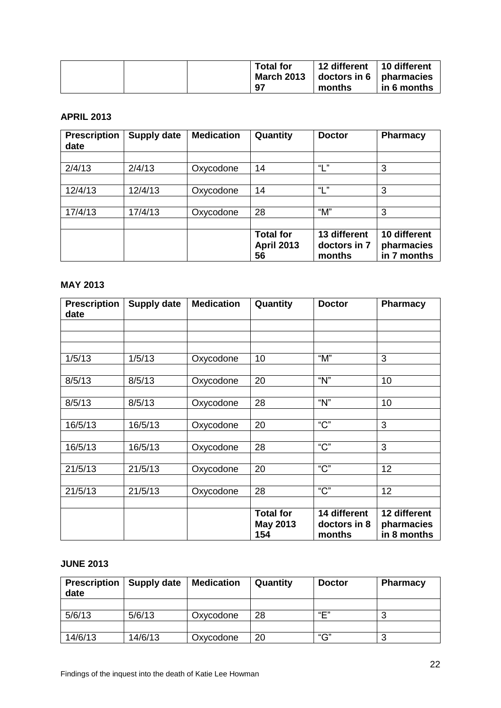|  | <b>Total for</b>  | 12 different                   | 10 different |
|--|-------------------|--------------------------------|--------------|
|  | <b>March 2013</b> | doctors in $6 \mid$ pharmacies |              |
|  | 97                | months                         | in 6 months  |

#### **APRIL 2013**

| <b>Prescription</b><br>date | <b>Supply date</b> | <b>Medication</b> | Quantity                                    | <b>Doctor</b>                          | <b>Pharmacy</b>                           |
|-----------------------------|--------------------|-------------------|---------------------------------------------|----------------------------------------|-------------------------------------------|
|                             |                    |                   |                                             |                                        |                                           |
| 2/4/13                      | 2/4/13             | Oxycodone         | 14                                          | "L"                                    | 3                                         |
|                             |                    |                   |                                             |                                        |                                           |
| 12/4/13                     | 12/4/13            | Oxycodone         | 14                                          | $\mathbf{u}$ , $\mathbf{v}$            | 3                                         |
|                             |                    |                   |                                             |                                        |                                           |
| 17/4/13                     | 17/4/13            | Oxycodone         | 28                                          | " $M"$                                 | 3                                         |
|                             |                    |                   |                                             |                                        |                                           |
|                             |                    |                   | <b>Total for</b><br><b>April 2013</b><br>56 | 13 different<br>doctors in 7<br>months | 10 different<br>pharmacies<br>in 7 months |

#### **MAY 2013**

| <b>Prescription</b><br>date | Supply date | <b>Medication</b> | Quantity                            | <b>Doctor</b>                          | <b>Pharmacy</b>                           |
|-----------------------------|-------------|-------------------|-------------------------------------|----------------------------------------|-------------------------------------------|
|                             |             |                   |                                     |                                        |                                           |
|                             |             |                   |                                     |                                        |                                           |
|                             |             |                   |                                     |                                        |                                           |
| 1/5/13                      | 1/5/13      | Oxycodone         | 10                                  | " $M$ "                                | 3                                         |
|                             |             |                   |                                     |                                        |                                           |
| 8/5/13                      | 8/5/13      | Oxycodone         | 20                                  | " $N$ "                                | 10                                        |
|                             |             |                   |                                     |                                        |                                           |
| 8/5/13                      | 8/5/13      | Oxycodone         | 28                                  | " $N$ "                                | 10                                        |
|                             |             |                   |                                     |                                        |                                           |
| 16/5/13                     | 16/5/13     | Oxycodone         | 20                                  | " $C$ "                                | 3                                         |
|                             |             |                   |                                     |                                        |                                           |
| 16/5/13                     | 16/5/13     | Oxycodone         | 28                                  | "C"                                    | 3                                         |
|                             |             |                   |                                     |                                        |                                           |
| 21/5/13                     | 21/5/13     | Oxycodone         | 20                                  | $C$ "                                  | 12                                        |
|                             |             |                   |                                     |                                        |                                           |
| 21/5/13                     | 21/5/13     | Oxycodone         | 28                                  | $C$ "                                  | 12                                        |
|                             |             |                   |                                     |                                        |                                           |
|                             |             |                   | <b>Total for</b><br>May 2013<br>154 | 14 different<br>doctors in 8<br>months | 12 different<br>pharmacies<br>in 8 months |

#### **JUNE 2013**

| <b>Prescription</b><br>date | <b>Supply date</b> | <b>Medication</b> | Quantity | <b>Doctor</b> | Pharmacy |
|-----------------------------|--------------------|-------------------|----------|---------------|----------|
|                             |                    |                   |          |               |          |
| 5/6/13                      | 5/6/13             | Oxycodone         | 28       | "口"           |          |
|                             |                    |                   |          |               |          |
| 14/6/13                     | 14/6/13            | Oxycodone         | 20       | "G"           |          |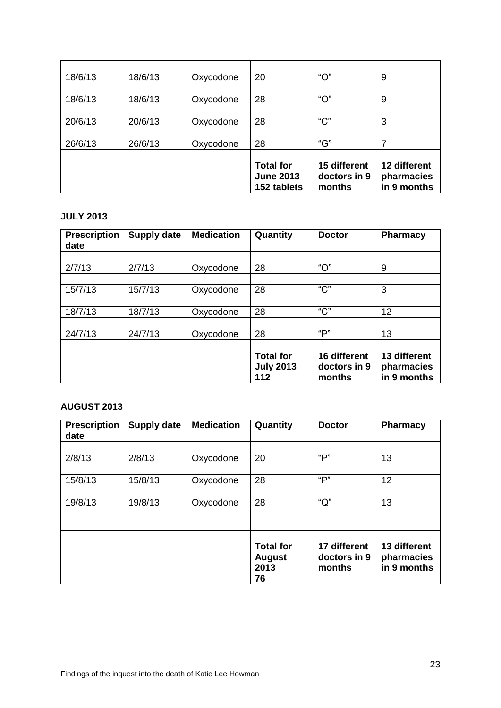| 18/6/13 | 18/6/13 | Oxycodone | 20                                                  | " $O$ "                                | 9                                         |
|---------|---------|-----------|-----------------------------------------------------|----------------------------------------|-------------------------------------------|
|         |         |           |                                                     |                                        |                                           |
| 18/6/13 | 18/6/13 | Oxycodone | 28                                                  | " $O$ "                                | 9                                         |
|         |         |           |                                                     |                                        |                                           |
| 20/6/13 | 20/6/13 | Oxycodone | 28                                                  | $C$ "                                  | 3                                         |
|         |         |           |                                                     |                                        |                                           |
| 26/6/13 | 26/6/13 | Oxycodone | 28                                                  | "G"                                    | 7                                         |
|         |         |           |                                                     |                                        |                                           |
|         |         |           | <b>Total for</b><br><b>June 2013</b><br>152 tablets | 15 different<br>doctors in 9<br>months | 12 different<br>pharmacies<br>in 9 months |

#### **JULY 2013**

| <b>Prescription</b><br>date | <b>Supply date</b> | <b>Medication</b> | Quantity                                    | <b>Doctor</b>                          | <b>Pharmacy</b>                           |
|-----------------------------|--------------------|-------------------|---------------------------------------------|----------------------------------------|-------------------------------------------|
|                             |                    |                   |                                             |                                        |                                           |
| 2/7/13                      | 2/7/13             | Oxycodone         | 28                                          | " $O$ "                                | 9                                         |
|                             |                    |                   |                                             |                                        |                                           |
| 15/7/13                     | 15/7/13            | Oxycodone         | 28                                          | $C$ "                                  | 3                                         |
|                             |                    |                   |                                             |                                        |                                           |
| 18/7/13                     | 18/7/13            | Oxycodone         | 28                                          | $C$ "                                  | 12                                        |
|                             |                    |                   |                                             |                                        |                                           |
| 24/7/13                     | 24/7/13            | Oxycodone         | 28                                          | "P"                                    | 13                                        |
|                             |                    |                   |                                             |                                        |                                           |
|                             |                    |                   | <b>Total for</b><br><b>July 2013</b><br>112 | 16 different<br>doctors in 9<br>months | 13 different<br>pharmacies<br>in 9 months |

#### **AUGUST 2013**

| <b>Prescription</b><br>date | <b>Supply date</b> | <b>Medication</b> | Quantity                                        | <b>Doctor</b>                          | <b>Pharmacy</b>                           |
|-----------------------------|--------------------|-------------------|-------------------------------------------------|----------------------------------------|-------------------------------------------|
|                             |                    |                   |                                                 |                                        |                                           |
| 2/8/13                      | 2/8/13             | Oxycodone         | 20                                              | "P"                                    | 13                                        |
|                             |                    |                   |                                                 |                                        |                                           |
| 15/8/13                     | 15/8/13            | Oxycodone         | 28                                              | "P"                                    | 12                                        |
|                             |                    |                   |                                                 |                                        |                                           |
| 19/8/13                     | 19/8/13            | Oxycodone         | 28                                              | " $Q$ "                                | 13                                        |
|                             |                    |                   |                                                 |                                        |                                           |
|                             |                    |                   |                                                 |                                        |                                           |
|                             |                    |                   |                                                 |                                        |                                           |
|                             |                    |                   | <b>Total for</b><br><b>August</b><br>2013<br>76 | 17 different<br>doctors in 9<br>months | 13 different<br>pharmacies<br>in 9 months |